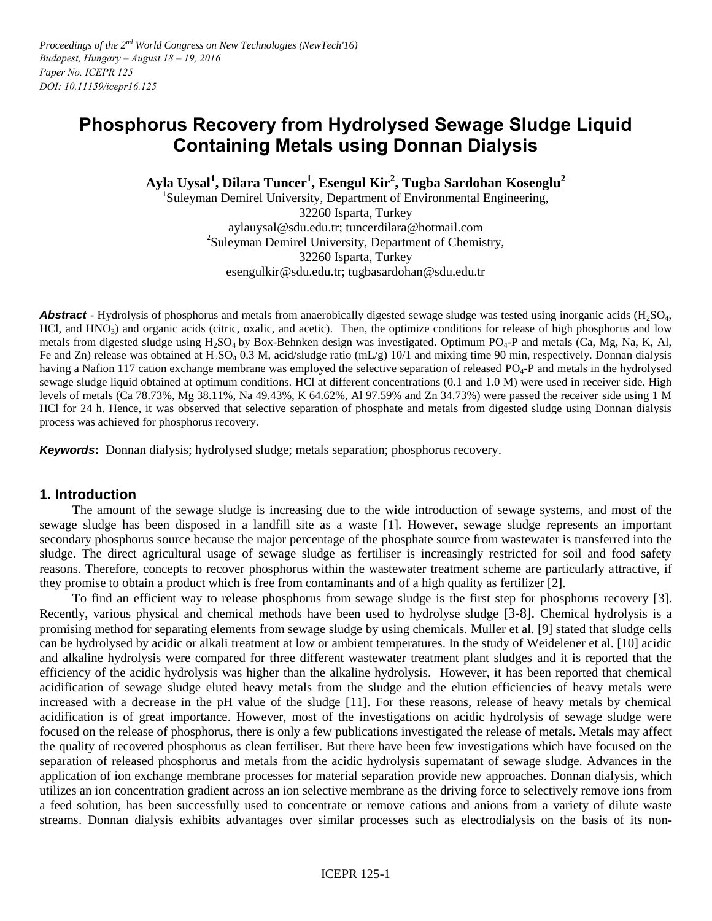# **Phosphorus Recovery from Hydrolysed Sewage Sludge Liquid Containing Metals using Donnan Dialysis**

**Ayla Uysal<sup>1</sup> , Dilara Tuncer<sup>1</sup> , Esengul Kir 2 , Tugba Sardohan Koseoglu<sup>2</sup>**

<sup>1</sup>Suleyman Demirel University, Department of Environmental Engineering, 32260 Isparta, Turkey aylauysal@sdu.edu.tr; tuncerdilara@hotmail.com 2 Suleyman Demirel University, Department of Chemistry, 32260 Isparta, Turkey esengulkir@sdu.edu.tr; tugbasardohan@sdu.edu.tr

**Abstract -** Hydrolysis of phosphorus and metals from anaerobically digested sewage sludge was tested using inorganic acids (H<sub>2</sub>SO<sub>4</sub>, HCl, and  $HNO<sub>3</sub>$ ) and organic acids (citric, oxalic, and acetic). Then, the optimize conditions for release of high phosphorus and low metals from digested sludge using  $H_2SO_4$  by Box-Behnken design was investigated. Optimum PO<sub>4</sub>-P and metals (Ca, Mg, Na, K, Al, Fe and Zn) release was obtained at  $H_2SO_4$  0.3 M, acid/sludge ratio (mL/g) 10/1 and mixing time 90 min, respectively. Donnan dialysis having a Nafion 117 cation exchange membrane was employed the selective separation of released PO<sub>4</sub>-P and metals in the hydrolysed sewage sludge liquid obtained at optimum conditions. HCl at different concentrations (0.1 and 1.0 M) were used in receiver side. High levels of metals (Ca 78.73%, Mg 38.11%, Na 49.43%, K 64.62%, Al 97.59% and Zn 34.73%) were passed the receiver side using 1 M HCl for 24 h. Hence, it was observed that selective separation of phosphate and metals from digested sludge using Donnan dialysis process was achieved for phosphorus recovery.

*Keywords***:** Donnan dialysis; hydrolysed sludge; metals separation; phosphorus recovery.

# **1. Introduction**

 The amount of the sewage sludge is increasing due to the wide introduction of sewage systems, and most of the sewage sludge has been disposed in a landfill site as a waste [1]. However, sewage sludge represents an important secondary phosphorus source because the major percentage of the phosphate source from wastewater is transferred into the sludge. The direct agricultural usage of sewage sludge as fertiliser is increasingly restricted for soil and food safety reasons. Therefore, concepts to recover phosphorus within the wastewater treatment scheme are particularly attractive, if they promise to obtain a product which is free from contaminants and of a high quality as fertilizer [2].

 To find an efficient way to release phosphorus from sewage sludge is the first step for phosphorus recovery [3]. Recently, various physical and chemical methods have been used to hydrolyse sludge [3-8]. Chemical hydrolysis is a promising method for separating elements from sewage sludge by using chemicals. Muller et al. [9] stated that sludge cells can be hydrolysed by acidic or alkali treatment at low or ambient temperatures. In the study of Weidelener et al. [10] acidic and alkaline hydrolysis were compared for three different wastewater treatment plant sludges and it is reported that the efficiency of the acidic hydrolysis was higher than the alkaline hydrolysis. However, it has been reported that chemical acidification of sewage sludge eluted heavy metals from the sludge and the elution efficiencies of heavy metals were increased with a decrease in the pH value of the sludge [11]. For these reasons, release of heavy metals by chemical acidification is of great importance. However, most of the investigations on acidic hydrolysis of sewage sludge were focused on the release of phosphorus, there is only a few publications investigated the release of metals. Metals may affect the quality of recovered phosphorus as clean fertiliser. But there have been few investigations which have focused on the separation of released phosphorus and metals from the acidic hydrolysis supernatant of sewage sludge. Advances in the application of ion exchange membrane processes for material separation provide new approaches. Donnan dialysis, which utilizes an ion concentration gradient across an ion selective membrane as the driving force to selectively remove ions from a feed solution, has been successfully used to concentrate or remove cations and anions from a variety of dilute waste streams. Donnan dialysis exhibits advantages over similar processes such as electrodialysis on the basis of its non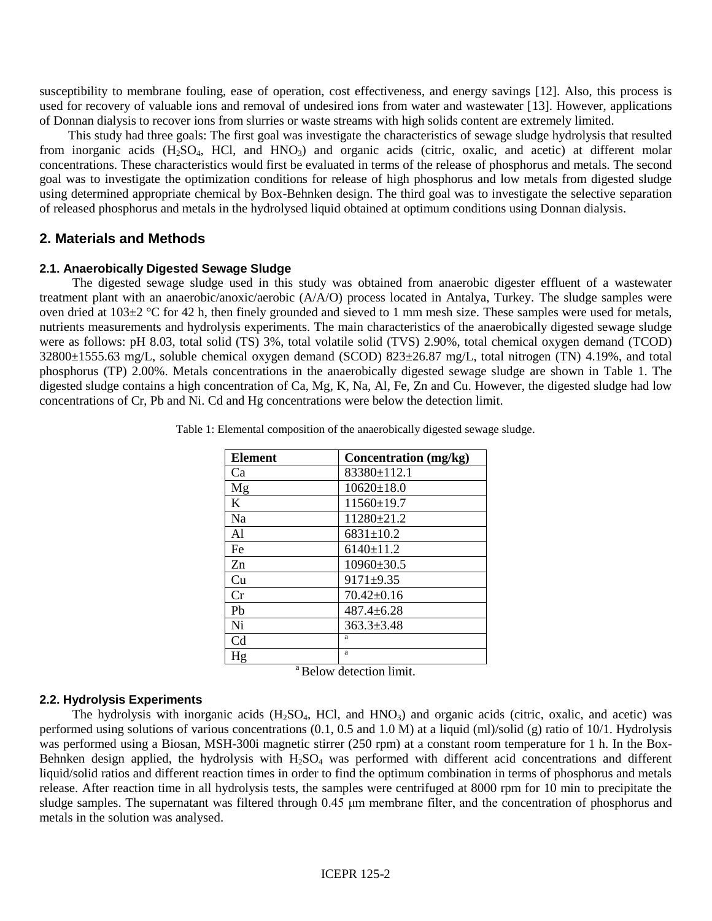susceptibility to membrane fouling, ease of operation, cost effectiveness, and energy savings [12]. Also, this process is used for recovery of valuable ions and removal of undesired ions from water and wastewater [13]. However, applications of Donnan dialysis to recover ions from slurries or waste streams with high solids content are extremely limited.

 This study had three goals: The first goal was investigate the characteristics of sewage sludge hydrolysis that resulted from inorganic acids (H2SO4, HCl, and HNO3) and organic acids (citric, oxalic, and acetic) at different molar concentrations. These characteristics would first be evaluated in terms of the release of phosphorus and metals. The second goal was to investigate the optimization conditions for release of high phosphorus and low metals from digested sludge using determined appropriate chemical by Box-Behnken design. The third goal was to investigate the selective separation of released phosphorus and metals in the hydrolysed liquid obtained at optimum conditions using Donnan dialysis.

# **2. Materials and Methods**

## **2.1. Anaerobically Digested Sewage Sludge**

 The digested sewage sludge used in this study was obtained from anaerobic digester effluent of a wastewater treatment plant with an anaerobic/anoxic/aerobic (A/A/O) process located in Antalya, Turkey. The sludge samples were oven dried at  $103\pm2$  °C for 42 h, then finely grounded and sieved to 1 mm mesh size. These samples were used for metals, nutrients measurements and hydrolysis experiments. The main characteristics of the anaerobically digested sewage sludge were as follows: pH 8.03, total solid (TS) 3%, total volatile solid (TVS) 2.90%, total chemical oxygen demand (TCOD) 32800±1555.63 mg/L, soluble chemical oxygen demand (SCOD) 823±26.87 mg/L, total nitrogen (TN) 4.19%, and total phosphorus (TP) 2.00%. Metals concentrations in the anaerobically digested sewage sludge are shown in Table 1. The digested sludge contains a high concentration of Ca, Mg, K, Na, Al, Fe, Zn and Cu. However, the digested sludge had low concentrations of Cr, Pb and Ni. Cd and Hg concentrations were below the detection limit.

| <b>Element</b> | Concentration (mg/kg) |
|----------------|-----------------------|
| Ca             | 83380±112.1           |
| Mg             | $10620 \pm 18.0$      |
| K              | $11560 \pm 19.7$      |
| Na             | 11280±21.2            |
| Al             | $6831 \pm 10.2$       |
| Fe             | $6140 \pm 11.2$       |
| Zn             | $10960 \pm 30.5$      |
| Cu             | $9171 + 9.35$         |
| Cr             | $70.42 \pm 0.16$      |
| Pb             | $487.4 \pm 6.28$      |
| Ni             | $363.3 \pm 3.48$      |
| C <sub>d</sub> | a                     |
| Hg             | a                     |

Table 1: Elemental composition of the anaerobically digested sewage sludge.

<sup>a</sup> Below detection limit.

### **2.2. Hydrolysis Experiments**

The hydrolysis with inorganic acids  $(H_2SO_4, HCl, and HNO_3)$  and organic acids (citric, oxalic, and acetic) was performed using solutions of various concentrations (0.1, 0.5 and 1.0 M) at a liquid (ml)/solid (g) ratio of 10/1. Hydrolysis was performed using a Biosan, MSH-300i magnetic stirrer (250 rpm) at a constant room temperature for 1 h. In the Box-Behnken design applied, the hydrolysis with  $H_2SO_4$  was performed with different acid concentrations and different liquid/solid ratios and different reaction times in order to find the optimum combination in terms of phosphorus and metals release. After reaction time in all hydrolysis tests, the samples were centrifuged at 8000 rpm for 10 min to precipitate the sludge samples. The supernatant was filtered through 0.45 μm membrane filter, and the concentration of phosphorus and metals in the solution was analysed.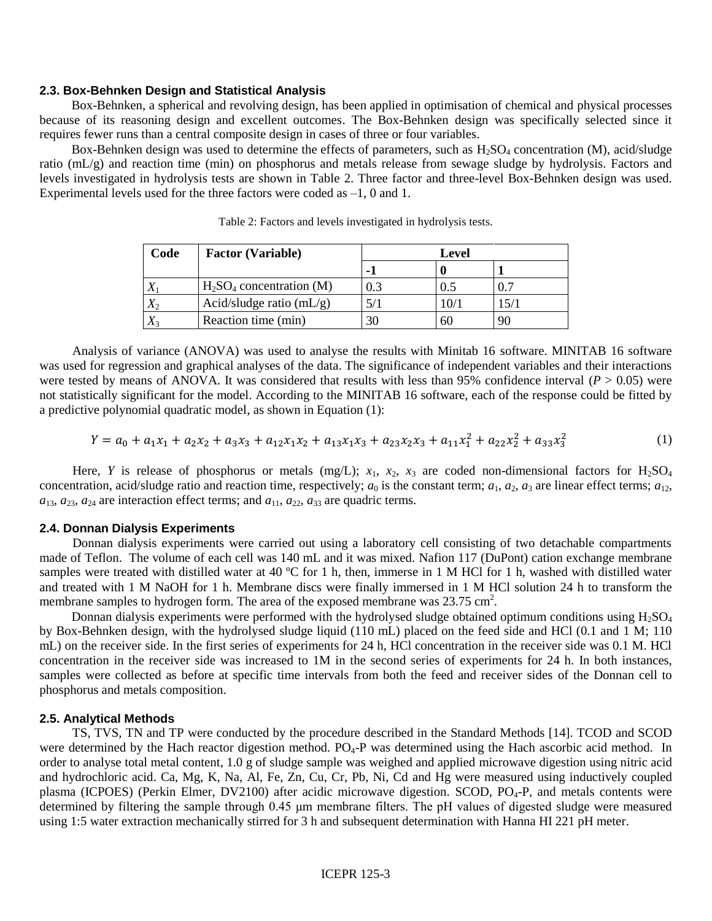### **2.3. Box-Behnken Design and Statistical Analysis**

 Box-Behnken, a spherical and revolving design, has been applied in optimisation of chemical and physical processes because of its reasoning design and excellent outcomes. The Box-Behnken design was specifically selected since it requires fewer runs than a central composite design in cases of three or four variables.

Box-Behnken design was used to determine the effects of parameters, such as  $H_2SO_4$  concentration (M), acid/sludge ratio (mL/g) and reaction time (min) on phosphorus and metals release from sewage sludge by hydrolysis. Factors and levels investigated in hydrolysis tests are shown in Table 2. Three factor and three-level Box-Behnken design was used. Experimental levels used for the three factors were coded as –1, 0 and 1.

| Code        | <b>Factor (Variable)</b>    |     | Level |      |  |  |  |
|-------------|-----------------------------|-----|-------|------|--|--|--|
|             |                             |     |       |      |  |  |  |
|             | $H_2SO_4$ concentration (M) | 0.3 |       | 0.7  |  |  |  |
| $X_2$       | Acid/sludge ratio $(mL/g)$  |     | 10/1  | 15/1 |  |  |  |
| $\Lambda$ 3 | Reaction time (min)         | 30  | 60    | 90   |  |  |  |

Table 2: Factors and levels investigated in hydrolysis tests.

 Analysis of variance (ANOVA) was used to analyse the results with Minitab 16 software. MINITAB 16 software was used for regression and graphical analyses of the data. The significance of independent variables and their interactions were tested by means of ANOVA. It was considered that results with less than 95% confidence interval ( $P > 0.05$ ) were not statistically significant for the model. According to the MINITAB 16 software, each of the response could be fitted by a predictive polynomial quadratic model, as shown in Equation (1):

$$
Y = a_0 + a_1 x_1 + a_2 x_2 + a_3 x_3 + a_{12} x_1 x_2 + a_{13} x_1 x_3 + a_{23} x_2 x_3 + a_{11} x_1^2 + a_{22} x_2^2 + a_{33} x_3^2
$$
 (1)

Here, *Y* is release of phosphorus or metals (mg/L);  $x_1$ ,  $x_2$ ,  $x_3$  are coded non-dimensional factors for H<sub>2</sub>SO<sub>4</sub> concentration, acid/sludge ratio and reaction time, respectively;  $a_0$  is the constant term;  $a_1$ ,  $a_2$ ,  $a_3$  are linear effect terms;  $a_{12}$ ,  $a_{13}$ ,  $a_{23}$ ,  $a_{24}$  are interaction effect terms; and  $a_{11}$ ,  $a_{22}$ ,  $a_{33}$  are quadric terms.

#### **2.4. Donnan Dialysis Experiments**

Donnan dialysis experiments were carried out using a laboratory cell consisting of two detachable compartments made of Teflon. The volume of each cell was 140 mL and it was mixed. Nafion 117 (DuPont) cation exchange membrane samples were treated with distilled water at 40 °C for 1 h, then, immerse in 1 M HCl for 1 h, washed with distilled water and treated with 1 M NaOH for 1 h. Membrane discs were finally immersed in 1 M HCl solution 24 h to transform the membrane samples to hydrogen form. The area of the exposed membrane was  $23.75 \text{ cm}^2$ .

Donnan dialysis experiments were performed with the hydrolysed sludge obtained optimum conditions using  $H_2SO_4$ by Box-Behnken design, with the hydrolysed sludge liquid (110 mL) placed on the feed side and HCl (0.1 and 1 M; 110 mL) on the receiver side. In the first series of experiments for 24 h, HCl concentration in the receiver side was 0.1 M. HCl concentration in the receiver side was increased to 1M in the second series of experiments for 24 h. In both instances, samples were collected as before at specific time intervals from both the feed and receiver sides of the Donnan cell to phosphorus and metals composition.

#### **2.5. Analytical Methods**

 TS, TVS, TN and TP were conducted by the procedure described in the Standard Methods [14]. TCOD and SCOD were determined by the Hach reactor digestion method. PO<sub>4</sub>-P was determined using the Hach ascorbic acid method. In order to analyse total metal content, 1.0 g of sludge sample was weighed and applied microwave digestion using nitric acid and hydrochloric acid. Ca, Mg, K, Na, Al, Fe, Zn, Cu, Cr, Pb, Ni, Cd and Hg were measured using inductively coupled plasma (ICPOES) (Perkin Elmer, DV2100) after acidic microwave digestion. SCOD, PO<sub>4</sub>-P, and metals contents were determined by filtering the sample through 0.45 μm membrane filters. The pH values of digested sludge were measured using 1:5 water extraction mechanically stirred for 3 h and subsequent determination with Hanna HI 221 pH meter.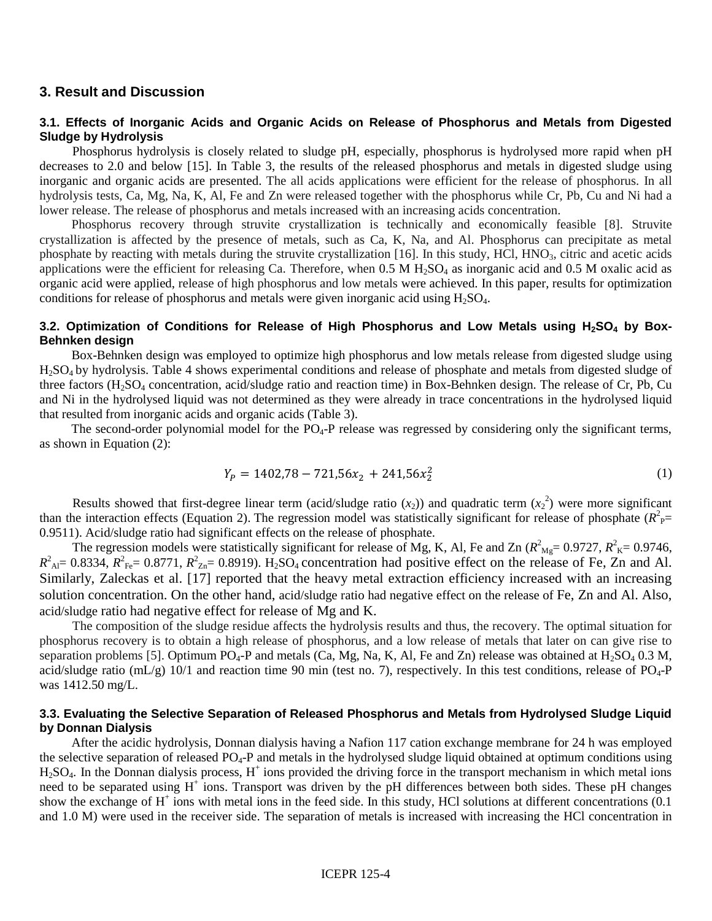## **3. Result and Discussion**

### **3.1. Effects of Inorganic Acids and Organic Acids on Release of Phosphorus and Metals from Digested Sludge by Hydrolysis**

 Phosphorus hydrolysis is closely related to sludge pH, especially, phosphorus is hydrolysed more rapid when pH decreases to 2.0 and below [15]. In Table 3, the results of the released phosphorus and metals in digested sludge using inorganic and organic acids are presented. The all acids applications were efficient for the release of phosphorus. In all hydrolysis tests, Ca, Mg, Na, K, Al, Fe and Zn were released together with the phosphorus while Cr, Pb, Cu and Ni had a lower release. The release of phosphorus and metals increased with an increasing acids concentration.

 Phosphorus recovery through struvite crystallization is technically and economically feasible [8]. Struvite crystallization is affected by the presence of metals, such as Ca, K, Na, and Al. Phosphorus can precipitate as metal phosphate by reacting with metals during the struvite crystallization  $[16]$ . In this study, HCl,  $HNO<sub>3</sub>$ , citric and acetic acids applications were the efficient for releasing Ca. Therefore, when  $0.5$  M  $H<sub>2</sub>SO<sub>4</sub>$  as inorganic acid and  $0.5$  M oxalic acid as organic acid were applied, release of high phosphorus and low metals were achieved. In this paper, results for optimization conditions for release of phosphorus and metals were given inorganic acid using  $H_2SO_4$ .

## **3.2. Optimization of Conditions for Release of High Phosphorus and Low Metals using H2SO<sup>4</sup> by Box-Behnken design**

 Box-Behnken design was employed to optimize high phosphorus and low metals release from digested sludge using H2SO<sup>4</sup> by hydrolysis. Table 4 shows experimental conditions and release of phosphate and metals from digested sludge of three factors (H2SO4 concentration, acid/sludge ratio and reaction time) in Box-Behnken design. The release of Cr, Pb, Cu and Ni in the hydrolysed liquid was not determined as they were already in trace concentrations in the hydrolysed liquid that resulted from inorganic acids and organic acids (Table 3).

The second-order polynomial model for the  $PO_4$ -P release was regressed by considering only the significant terms, as shown in Equation (2):

$$
Y_p = 1402,78 - 721,56x_2 + 241,56x_2^2 \tag{1}
$$

Results showed that first-degree linear term (acid/sludge ratio  $(x_2)$ ) and quadratic term  $(x_2^2)$  were more significant than the interaction effects (Equation 2). The regression model was statistically significant for release of phosphate  $(R<sup>2</sup><sub>P</sub>=$ 0.9511). Acid/sludge ratio had significant effects on the release of phosphate.

The regression models were statistically significant for release of Mg, K, Al, Fe and Zn ( $R^2$ <sub>Mg</sub> = 0.9727,  $R^2$ <sub>K</sub> = 0.9746,  $R^2$ <sub>Al</sub> = 0.8334,  $R^2$ <sub>Fe</sub> = 0.8771,  $R^2$ <sub>Zn</sub> = 0.8919). H<sub>2</sub>SO<sub>4</sub> concentration had positive effect on the release of Fe, Zn and Al. Similarly, Zaleckas et al. [17] reported that the heavy metal extraction efficiency increased with an increasing solution concentration. On the other hand, acid/sludge ratio had negative effect on the release of Fe, Zn and Al. Also, acid/sludge ratio had negative effect for release of Mg and K.

 The composition of the sludge residue affects the hydrolysis results and thus, the recovery. The optimal situation for phosphorus recovery is to obtain a high release of phosphorus, and a low release of metals that later on can give rise to separation problems [5]. Optimum  $PO_4$ -P and metals (Ca, Mg, Na, K, Al, Fe and Zn) release was obtained at  $H_2SO_4$  0.3 M, acid/sludge ratio (mL/g)  $10/1$  and reaction time 90 min (test no. 7), respectively. In this test conditions, release of PO<sub>4</sub>-P was 1412.50 mg/L.

## **3.3. Evaluating the Selective Separation of Released Phosphorus and Metals from Hydrolysed Sludge Liquid by Donnan Dialysis**

 After the acidic hydrolysis, Donnan dialysis having a Nafion 117 cation exchange membrane for 24 h was employed the selective separation of released  $PO_4$ -P and metals in the hydrolysed sludge liquid obtained at optimum conditions using  $H<sub>2</sub>SO<sub>4</sub>$ . In the Donnan dialysis process,  $H<sup>+</sup>$  ions provided the driving force in the transport mechanism in which metal ions need to be separated using  $H^+$  ions. Transport was driven by the pH differences between both sides. These pH changes show the exchange of H<sup>+</sup> ions with metal ions in the feed side. In this study, HCl solutions at different concentrations (0.1) and 1.0 M) were used in the receiver side. The separation of metals is increased with increasing the HCl concentration in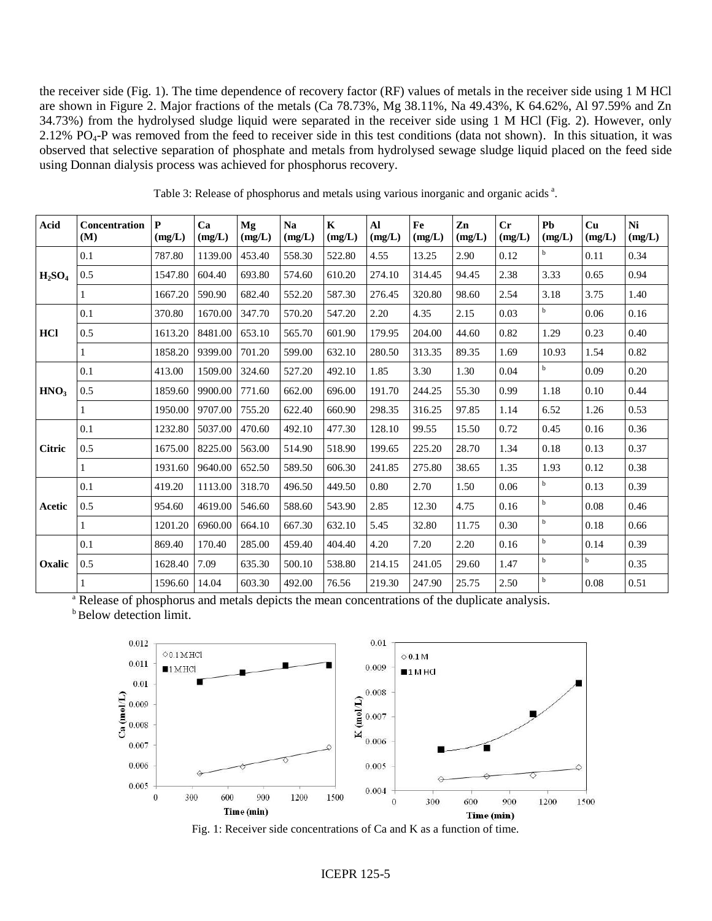the receiver side (Fig. 1). The time dependence of recovery factor (RF) values of metals in the receiver side using 1 M HCl are shown in Figure 2. Major fractions of the metals (Ca 78.73%, Mg 38.11%, Na 49.43%, K 64.62%, Al 97.59% and Zn 34.73%) from the hydrolysed sludge liquid were separated in the receiver side using 1 M HCl (Fig. 2). However, only 2.12% PO<sub>4</sub>-P was removed from the feed to receiver side in this test conditions (data not shown). In this situation, it was observed that selective separation of phosphate and metals from hydrolysed sewage sludge liquid placed on the feed side using Donnan dialysis process was achieved for phosphorus recovery.

| Acid             | Concentration<br>(M) | $\mathbf{P}$<br>(mg/L) | Ca<br>(mg/L) | Mg<br>(mg/L) | <b>Na</b><br>(mg/L) | $\mathbf K$<br>(mg/L) | Al<br>(mg/L) | Fe<br>(mg/L) | Zn<br>(mg/L) | Cr<br>(mg/L) | Pb<br>(mg/L) | Cu<br>(mg/L) | Ni<br>(mg/L) |
|------------------|----------------------|------------------------|--------------|--------------|---------------------|-----------------------|--------------|--------------|--------------|--------------|--------------|--------------|--------------|
| $H_2SO_4$        | 0.1                  | 787.80                 | 1139.00      | 453.40       | 558.30              | 522.80                | 4.55         | 13.25        | 2.90         | 0.12         | $\mathbf b$  | 0.11         | 0.34         |
|                  | 0.5                  | 1547.80                | 604.40       | 693.80       | 574.60              | 610.20                | 274.10       | 314.45       | 94.45        | 2.38         | 3.33         | 0.65         | 0.94         |
|                  | 1                    | 1667.20                | 590.90       | 682.40       | 552.20              | 587.30                | 276.45       | 320.80       | 98.60        | 2.54         | 3.18         | 3.75         | 1.40         |
| HCl              | 0.1                  | 370.80                 | 1670.00      | 347.70       | 570.20              | 547.20                | 2.20         | 4.35         | 2.15         | 0.03         | $\mathbf b$  | 0.06         | 0.16         |
|                  | 0.5                  | 1613.20                | 8481.00      | 653.10       | 565.70              | 601.90                | 179.95       | 204.00       | 44.60        | 0.82         | 1.29         | 0.23         | 0.40         |
|                  |                      | 1858.20                | 9399.00      | 701.20       | 599.00              | 632.10                | 280.50       | 313.35       | 89.35        | 1.69         | 10.93        | 1.54         | 0.82         |
| HNO <sub>3</sub> | 0.1                  | 413.00                 | 1509.00      | 324.60       | 527.20              | 492.10                | 1.85         | 3.30         | 1.30         | 0.04         | $\mathbf b$  | 0.09         | 0.20         |
|                  | 0.5                  | 1859.60                | 9900.00      | 771.60       | 662.00              | 696.00                | 191.70       | 244.25       | 55.30        | 0.99         | 1.18         | 0.10         | 0.44         |
|                  |                      | 1950.00                | 9707.00      | 755.20       | 622.40              | 660.90                | 298.35       | 316.25       | 97.85        | 1.14         | 6.52         | 1.26         | 0.53         |
|                  | 0.1                  | 1232.80                | 5037.00      | 470.60       | 492.10              | 477.30                | 128.10       | 99.55        | 15.50        | 0.72         | 0.45         | 0.16         | 0.36         |
| <b>Citric</b>    | 0.5                  | 1675.00                | 8225.00      | 563.00       | 514.90              | 518.90                | 199.65       | 225.20       | 28.70        | 1.34         | 0.18         | 0.13         | 0.37         |
|                  | 1                    | 1931.60                | 9640.00      | 652.50       | 589.50              | 606.30                | 241.85       | 275.80       | 38.65        | 1.35         | 1.93         | 0.12         | 0.38         |
|                  | 0.1                  | 419.20                 | 1113.00      | 318.70       | 496.50              | 449.50                | 0.80         | 2.70         | 1.50         | 0.06         | $\mathbf b$  | 0.13         | 0.39         |
| Acetic           | 0.5                  | 954.60                 | 4619.00      | 546.60       | 588.60              | 543.90                | 2.85         | 12.30        | 4.75         | 0.16         | $\mathbf b$  | 0.08         | 0.46         |
|                  |                      | 1201.20                | 6960.00      | 664.10       | 667.30              | 632.10                | 5.45         | 32.80        | 11.75        | 0.30         | $\mathbf b$  | 0.18         | 0.66         |
| Oxalic           | 0.1                  | 869.40                 | 170.40       | 285.00       | 459.40              | 404.40                | 4.20         | 7.20         | 2.20         | 0.16         | $\mathbf b$  | 0.14         | 0.39         |
|                  | 0.5                  | 1628.40                | 7.09         | 635.30       | 500.10              | 538.80                | 214.15       | 241.05       | 29.60        | 1.47         | $\mathbf b$  | b            | 0.35         |
|                  | 1                    | 1596.60                | 14.04        | 603.30       | 492.00              | 76.56                 | 219.30       | 247.90       | 25.75        | 2.50         | $\rm b$      | 0.08         | 0.51         |

Table 3: Release of phosphorus and metals using various inorganic and organic acids<sup>a</sup>.

<sup>a</sup> Release of phosphorus and metals depicts the mean concentrations of the duplicate analysis. **b**Below detection limit.



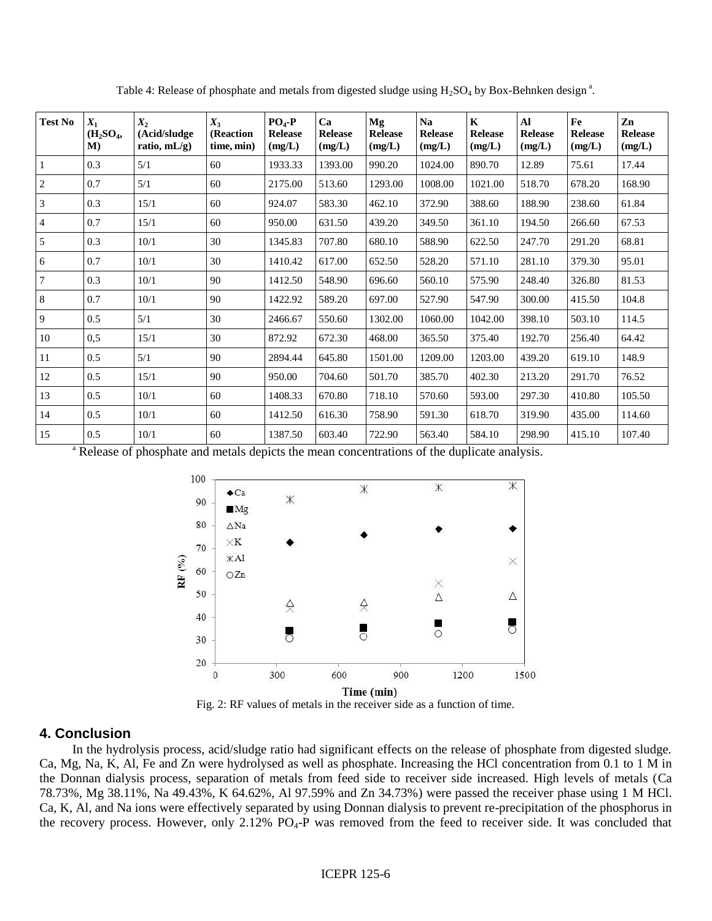| <b>Test No</b> | $X_1$<br>(H <sub>2</sub> SO <sub>4</sub><br>M | $X_2$<br>(Acid/sludge<br>ratio, $mL/g$ ) | $X_3$<br>(Reaction<br>time, min) | $PO4-P$<br><b>Release</b><br>(mg/L) | Ca<br><b>Release</b><br>(mg/L) | Mg<br><b>Release</b><br>(mg/L) | <b>Na</b><br><b>Release</b><br>(mg/L) | $\mathbf K$<br><b>Release</b><br>(mg/L) | $\mathbf{A}$<br><b>Release</b><br>(mg/L) | Fe<br><b>Release</b><br>(mg/L) | Zn<br><b>Release</b><br>(mg/L) |
|----------------|-----------------------------------------------|------------------------------------------|----------------------------------|-------------------------------------|--------------------------------|--------------------------------|---------------------------------------|-----------------------------------------|------------------------------------------|--------------------------------|--------------------------------|
| $\mathbf{1}$   | 0.3                                           | 5/1                                      | 60                               | 1933.33                             | 1393.00                        | 990.20                         | 1024.00                               | 890.70                                  | 12.89                                    | 75.61                          | 17.44                          |
| $\sqrt{2}$     | 0.7                                           | 5/1                                      | 60                               | 2175.00                             | 513.60                         | 1293.00                        | 1008.00                               | 1021.00                                 | 518.70                                   | 678.20                         | 168.90                         |
| 3              | 0.3                                           | 15/1                                     | 60                               | 924.07                              | 583.30                         | 462.10                         | 372.90                                | 388.60                                  | 188.90                                   | 238.60                         | 61.84                          |
| $\overline{4}$ | 0.7                                           | 15/1                                     | 60                               | 950.00                              | 631.50                         | 439.20                         | 349.50                                | 361.10                                  | 194.50                                   | 266.60                         | 67.53                          |
| 5              | 0.3                                           | 10/1                                     | 30                               | 1345.83                             | 707.80                         | 680.10                         | 588.90                                | 622.50                                  | 247.70                                   | 291.20                         | 68.81                          |
| 6              | 0.7                                           | 10/1                                     | 30                               | 1410.42                             | 617.00                         | 652.50                         | 528.20                                | 571.10                                  | 281.10                                   | 379.30                         | 95.01                          |
| $\overline{7}$ | 0.3                                           | 10/1                                     | 90                               | 1412.50                             | 548.90                         | 696.60                         | 560.10                                | 575.90                                  | 248.40                                   | 326.80                         | 81.53                          |
| 8              | 0.7                                           | 10/1                                     | 90                               | 1422.92                             | 589.20                         | 697.00                         | 527.90                                | 547.90                                  | 300.00                                   | 415.50                         | 104.8                          |
| 9              | 0.5                                           | 5/1                                      | 30                               | 2466.67                             | 550.60                         | 1302.00                        | 1060.00                               | 1042.00                                 | 398.10                                   | 503.10                         | 114.5                          |
| 10             | 0.5                                           | 15/1                                     | 30                               | 872.92                              | 672.30                         | 468.00                         | 365.50                                | 375.40                                  | 192.70                                   | 256.40                         | 64.42                          |
| 11             | 0.5                                           | 5/1                                      | 90                               | 2894.44                             | 645.80                         | 1501.00                        | 1209.00                               | 1203.00                                 | 439.20                                   | 619.10                         | 148.9                          |
| 12             | 0.5                                           | 15/1                                     | 90                               | 950.00                              | 704.60                         | 501.70                         | 385.70                                | 402.30                                  | 213.20                                   | 291.70                         | 76.52                          |
| 13             | 0.5                                           | 10/1                                     | 60                               | 1408.33                             | 670.80                         | 718.10                         | 570.60                                | 593.00                                  | 297.30                                   | 410.80                         | 105.50                         |
| 14             | 0.5                                           | 10/1                                     | 60                               | 1412.50                             | 616.30                         | 758.90                         | 591.30                                | 618.70                                  | 319.90                                   | 435.00                         | 114.60                         |
| 15             | 0.5                                           | 10/1                                     | 60                               | 1387.50                             | 603.40                         | 722.90                         | 563.40                                | 584.10                                  | 298.90                                   | 415.10                         | 107.40                         |

Table 4: Release of phosphate and metals from digested sludge using  $H_2SO_4$  by Box-Behnken design<sup>a</sup>.

<sup>a</sup> Release of phosphate and metals depicts the mean concentrations of the duplicate analysis.



Fig. 2: RF values of metals in the receiver side as a function of time.

# **4. Conclusion**

 In the hydrolysis process, acid/sludge ratio had significant effects on the release of phosphate from digested sludge. Ca, Mg, Na, K, Al, Fe and Zn were hydrolysed as well as phosphate. Increasing the HCl concentration from 0.1 to 1 M in the Donnan dialysis process, separation of metals from feed side to receiver side increased. High levels of metals (Ca 78.73%, Mg 38.11%, Na 49.43%, K 64.62%, Al 97.59% and Zn 34.73%) were passed the receiver phase using 1 M HCl. Ca, K, Al, and Na ions were effectively separated by using Donnan dialysis to prevent re-precipitation of the phosphorus in the recovery process. However, only 2.12% PO<sub>4</sub>-P was removed from the feed to receiver side. It was concluded that